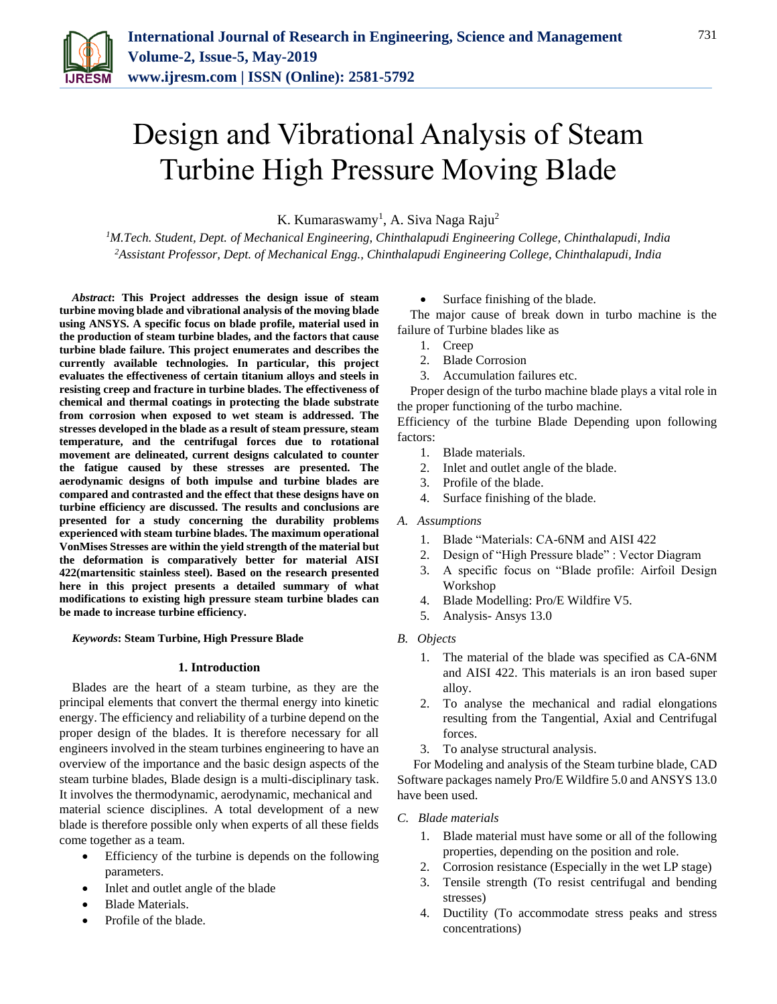

# Design and Vibrational Analysis of Steam Turbine High Pressure Moving Blade

K. Kumaraswamy<sup>1</sup>, A. Siva Naga Raju<sup>2</sup>

*<sup>1</sup>M.Tech. Student, Dept. of Mechanical Engineering, Chinthalapudi Engineering College, Chinthalapudi, India 2Assistant Professor, Dept. of Mechanical Engg., Chinthalapudi Engineering College, Chinthalapudi, India*

*Abstract***: This Project addresses the design issue of steam turbine moving blade and vibrational analysis of the moving blade using ANSYS. A specific focus on blade profile, material used in the production of steam turbine blades, and the factors that cause turbine blade failure. This project enumerates and describes the currently available technologies. In particular, this project evaluates the effectiveness of certain titanium alloys and steels in resisting creep and fracture in turbine blades. The effectiveness of chemical and thermal coatings in protecting the blade substrate from corrosion when exposed to wet steam is addressed. The stresses developed in the blade as a result of steam pressure, steam temperature, and the centrifugal forces due to rotational movement are delineated, current designs calculated to counter the fatigue caused by these stresses are presented. The aerodynamic designs of both impulse and turbine blades are compared and contrasted and the effect that these designs have on turbine efficiency are discussed. The results and conclusions are presented for a study concerning the durability problems experienced with steam turbine blades. The maximum operational VonMises Stresses are within the yield strength of the material but the deformation is comparatively better for material AISI 422(martensitic stainless steel). Based on the research presented here in this project presents a detailed summary of what modifications to existing high pressure steam turbine blades can be made to increase turbine efficiency.**

## *Keywords***: Steam Turbine, High Pressure Blade**

#### **1. Introduction**

Blades are the heart of a steam turbine, as they are the principal elements that convert the thermal energy into kinetic energy. The efficiency and reliability of a turbine depend on the proper design of the blades. It is therefore necessary for all engineers involved in the steam turbines engineering to have an overview of the importance and the basic design aspects of the steam turbine blades, Blade design is a multi-disciplinary task. It involves the thermodynamic, aerodynamic, mechanical and material science disciplines. A total development of a new blade is therefore possible only when experts of all these fields come together as a team.

- Efficiency of the turbine is depends on the following parameters.
- Inlet and outlet angle of the blade
- Blade Materials.
- Profile of the blade.

Surface finishing of the blade.

The major cause of break down in turbo machine is the failure of Turbine blades like as

- 1. Creep
- 2. Blade Corrosion
- 3. Accumulation failures etc.

Proper design of the turbo machine blade plays a vital role in the proper functioning of the turbo machine.

Efficiency of the turbine Blade Depending upon following factors:

- 1. Blade materials.
- 2. Inlet and outlet angle of the blade.
- 3. Profile of the blade.
- 4. Surface finishing of the blade.
- *A. Assumptions*
	- 1. Blade "Materials: CA-6NM and AISI 422
	- 2. Design of "High Pressure blade" : Vector Diagram
	- 3. A specific focus on "Blade profile: Airfoil Design Workshop
	- 4. Blade Modelling: Pro/E Wildfire V5.
	- 5. Analysis- Ansys 13.0
- *B. Objects*
	- 1. The material of the blade was specified as CA-6NM and AISI 422. This materials is an iron based super alloy.
	- 2. To analyse the mechanical and radial elongations resulting from the Tangential, Axial and Centrifugal forces.
	- 3. To analyse structural analysis.

For Modeling and analysis of the Steam turbine blade, CAD Software packages namely Pro/E Wildfire 5.0 and ANSYS 13.0 have been used.

#### *C. Blade materials*

- 1. Blade material must have some or all of the following properties, depending on the position and role.
- 2. Corrosion resistance (Especially in the wet LP stage)
- 3. Tensile strength (To resist centrifugal and bending stresses)
- 4. Ductility (To accommodate stress peaks and stress concentrations)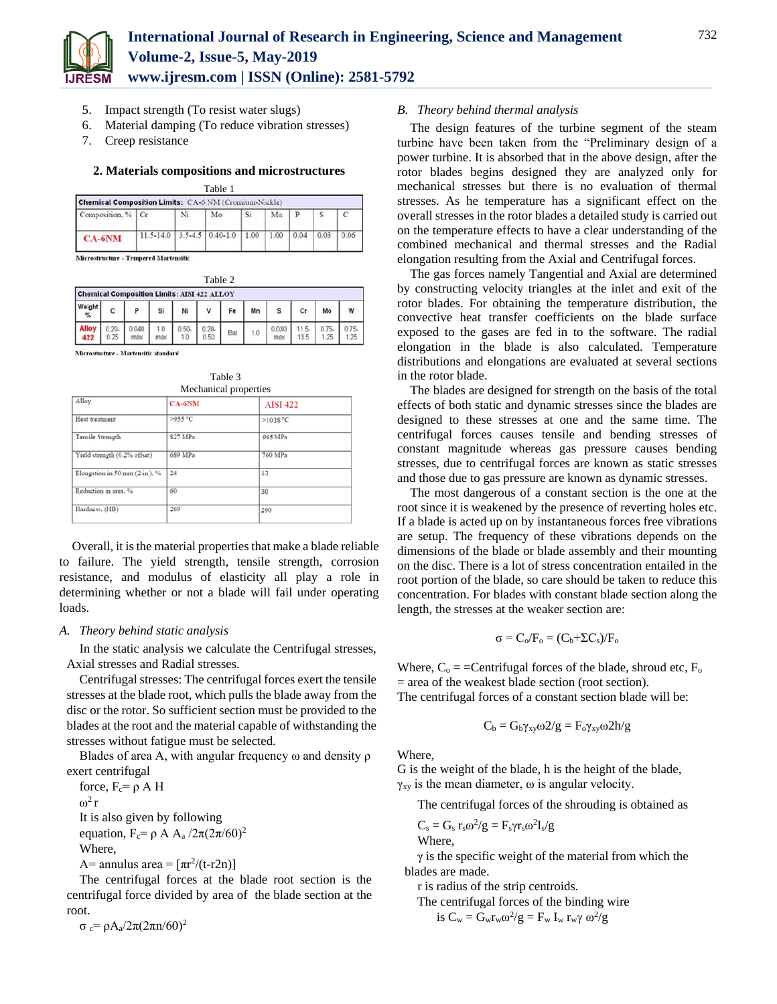

- 5. Impact strength (To resist water slugs)
- 6. Material damping (To reduce vibration stresses)
- 7. Creep resistance

#### **2. Materials compositions and microstructures**  $T<sub>1</sub>$

| rabie i                                                      |               |    |                          |      |      |      |      |      |  |
|--------------------------------------------------------------|---------------|----|--------------------------|------|------|------|------|------|--|
| <b>Chemical Composition Limits: CA-6 NM (Cromium-Nickle)</b> |               |    |                          |      |      |      |      |      |  |
| Composition, %   Cr                                          |               | Ni | Mo                       | Si   | Mn   | P    |      |      |  |
| $CA-6NM$                                                     | $11.5 - 14.0$ |    | $3.5 - 4.5$   0.40 - 1.0 | 1.00 | 1.00 | 0.04 | 0.03 | 0.06 |  |

Microstructure - Tempered Martensitic

|                     |                                                    |              |     |                 | Table 2          |     |     |              |      |      |              |
|---------------------|----------------------------------------------------|--------------|-----|-----------------|------------------|-----|-----|--------------|------|------|--------------|
|                     | <b>Chemical Composition Limits: AISI 422 ALLOY</b> |              |     |                 |                  |     |     |              |      |      |              |
| Weight<br>$\%$      | с                                                  | P            | Si  | Ni              |                  |     | Mn  | s            | Cr   | Mo   | W            |
| <b>Alloy</b><br>422 | 0.20<br>0.25                                       | 0.040<br>max | max | $0.50 -$<br>1.0 | $0.20 -$<br>0.50 | Bal | 1.0 | 0.030<br>max | 13.5 | 1.25 | 0.75<br>1:25 |

Microstucture - Martensitic standard

Table 3 Mechanical properties

| meenanical properties          |               |                 |  |  |  |  |
|--------------------------------|---------------|-----------------|--|--|--|--|
| Alloy                          | <b>CA-6NM</b> | <b>AISI 422</b> |  |  |  |  |
| Heat treatment                 | >955 °C       | $>1038$ °C      |  |  |  |  |
| Tensile Strength               | 827 MPa       | 965 MPa         |  |  |  |  |
| Yield strength (0.2% offset)   | 689 MPa       | 760 MPa         |  |  |  |  |
| Elongation in 50 mm (2 in.), % | 24            | 13              |  |  |  |  |
| Reduction in area, %           | 60            | 30              |  |  |  |  |
| Hardness, (HB)                 | 269           | 290             |  |  |  |  |

Overall, it is the material properties that make a blade reliable to failure. The yield strength, tensile strength, corrosion resistance, and modulus of elasticity all play a role in determining whether or not a blade will fail under operating loads.

## *A. Theory behind static analysis*

In the static analysis we calculate the Centrifugal stresses, Axial stresses and Radial stresses.

Centrifugal stresses: The centrifugal forces exert the tensile stresses at the blade root, which pulls the blade away from the disc or the rotor. So sufficient section must be provided to the blades at the root and the material capable of withstanding the stresses without fatigue must be selected.

Blades of area A, with angular frequency ω and density ρ exert centrifugal

force,  $F_c = \rho A H$  $ω<sup>2</sup> r$ It is also given by following equation,  $F_c = \rho A A_a / 2\pi (2\pi/60)^2$ Where,

A= annulus area =  $[\pi r^2/(t-r2n)]$ 

The centrifugal forces at the blade root section is the centrifugal force divided by area of the blade section at the root.

 $\sigma_c = \rho A_a/2\pi (2\pi n/60)^2$ 

## *B. Theory behind thermal analysis*

The design features of the turbine segment of the steam turbine have been taken from the "Preliminary design of a power turbine. It is absorbed that in the above design, after the rotor blades begins designed they are analyzed only for mechanical stresses but there is no evaluation of thermal stresses. As he temperature has a significant effect on the overall stresses in the rotor blades a detailed study is carried out on the temperature effects to have a clear understanding of the combined mechanical and thermal stresses and the Radial elongation resulting from the Axial and Centrifugal forces.

The gas forces namely Tangential and Axial are determined by constructing velocity triangles at the inlet and exit of the rotor blades. For obtaining the temperature distribution, the convective heat transfer coefficients on the blade surface exposed to the gases are fed in to the software. The radial elongation in the blade is also calculated. Temperature distributions and elongations are evaluated at several sections in the rotor blade.

The blades are designed for strength on the basis of the total effects of both static and dynamic stresses since the blades are designed to these stresses at one and the same time. The centrifugal forces causes tensile and bending stresses of constant magnitude whereas gas pressure causes bending stresses, due to centrifugal forces are known as static stresses and those due to gas pressure are known as dynamic stresses.

The most dangerous of a constant section is the one at the root since it is weakened by the presence of reverting holes etc. If a blade is acted up on by instantaneous forces free vibrations are setup. The frequency of these vibrations depends on the dimensions of the blade or blade assembly and their mounting on the disc. There is a lot of stress concentration entailed in the root portion of the blade, so care should be taken to reduce this concentration. For blades with constant blade section along the length, the stresses at the weaker section are:

$$
\sigma = C_o/F_o = (C_b + \Sigma C_s)/F_o
$$

Where,  $C_0 =$  = Centrifugal forces of the blade, shroud etc,  $F_0$ = area of the weakest blade section (root section). The centrifugal forces of a constant section blade will be:

$$
C_b = G_b \gamma_{xy} \omega 2/g = F_o \gamma_{xy} \omega 2h/g
$$

Where,

G is the weight of the blade, h is the height of the blade,  $\gamma_{xy}$  is the mean diameter,  $\omega$  is angular velocity.

The centrifugal forces of the shrouding is obtained as

$$
C_s = G_s r_s \omega^2/g = F_s \gamma r_s \omega^2 I_s/g
$$
Where,

 $\gamma$  is the specific weight of the material from which the

blades are made.

r is radius of the strip centroids.

The centrifugal forces of the binding wire

is 
$$
C_w = G_w r_w \omega^2 / g = F_w I_w r_w \gamma \omega^2 / g
$$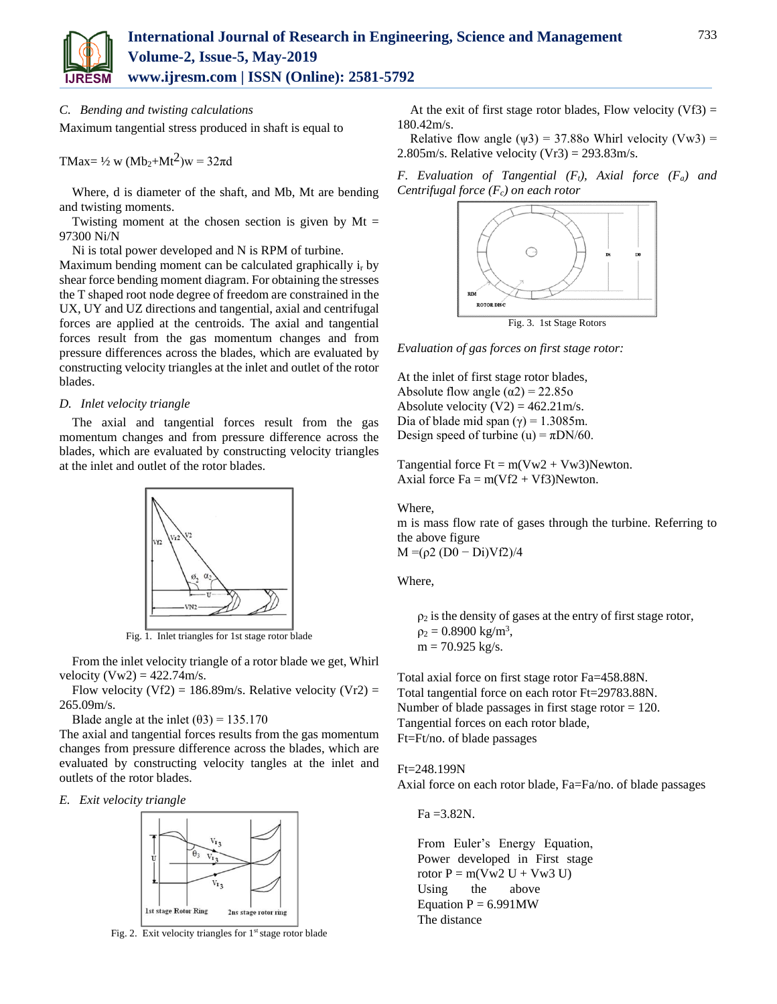

## *C. Bending and twisting calculations*

Maximum tangential stress produced in shaft is equal to

TMax=  $\frac{1}{2}$  w (Mb<sub>2</sub>+Mt<sup>2</sup>)w = 32 $\pi$ d

Where, d is diameter of the shaft, and Mb, Mt are bending and twisting moments.

Twisting moment at the chosen section is given by  $Mt =$ 97300 Ni/N

Ni is total power developed and N is RPM of turbine.

Maximum bending moment can be calculated graphically i<sub>r</sub> by shear force bending moment diagram. For obtaining the stresses the T shaped root node degree of freedom are constrained in the UX, UY and UZ directions and tangential, axial and centrifugal forces are applied at the centroids. The axial and tangential forces result from the gas momentum changes and from pressure differences across the blades, which are evaluated by constructing velocity triangles at the inlet and outlet of the rotor blades.

#### *D. Inlet velocity triangle*

The axial and tangential forces result from the gas momentum changes and from pressure difference across the blades, which are evaluated by constructing velocity triangles at the inlet and outlet of the rotor blades.



Fig. 1. Inlet triangles for 1st stage rotor blade

From the inlet velocity triangle of a rotor blade we get, Whirl velocity  $(Vw2) = 422.74 \text{m/s}.$ 

Flow velocity (Vf2) =  $186.89$ m/s. Relative velocity (Vr2) = 265.09m/s.

Blade angle at the inlet  $(\theta 3) = 135.170$ 

The axial and tangential forces results from the gas momentum changes from pressure difference across the blades, which are evaluated by constructing velocity tangles at the inlet and outlets of the rotor blades.

*E. Exit velocity triangle*



Fig. 2. Exit velocity triangles for  $1<sup>st</sup>$  stage rotor blade

At the exit of first stage rotor blades, Flow velocity  $(Vf3)$  = 180.42m/s.

Relative flow angle  $(\psi 3) = 37.88$ o Whirl velocity  $(Vw3) =$ 2.805m/s. Relative velocity  $(Vr3) = 293.83$ m/s.

*F. Evaluation of Tangential (Ft), Axial force (Fa) and Centrifugal force (Fc) on each rotor*



Fig. 3. 1st Stage Rotors

*Evaluation of gas forces on first stage rotor:*

At the inlet of first stage rotor blades, Absolute flow angle  $(\alpha 2) = 22.85$ o Absolute velocity  $(V2) = 462.21$  m/s. Dia of blade mid span  $(\gamma) = 1.3085$ m. Design speed of turbine (u) =  $\pi$ DN/60.

Tangential force  $Ft = m(Vw2 + Vw3)$ Newton. Axial force  $Fa = m(Vf2 + Vf3)$ Newton.

Where,

m is mass flow rate of gases through the turbine. Referring to the above figure  $M = (ρ2 (D0 - Di)Vf2)/4$ 

Where,

 $\rho_2$  is the density of gases at the entry of first stage rotor,  $p_2 = 0.8900 \text{ kg/m}^3$ ,  $m = 70.925$  kg/s.

Total axial force on first stage rotor Fa=458.88N. Total tangential force on each rotor Ft=29783.88N. Number of blade passages in first stage rotor = 120. Tangential forces on each rotor blade, Ft=Ft/no. of blade passages

Ft=248.199N Axial force on each rotor blade, Fa=Fa/no. of blade passages

 $Fa = 3.82N$ .

From Euler's Energy Equation, Power developed in First stage rotor  $P = m(Vw2 U + Vw3 U)$ Using the above Equation  $P = 6.991MW$ The distance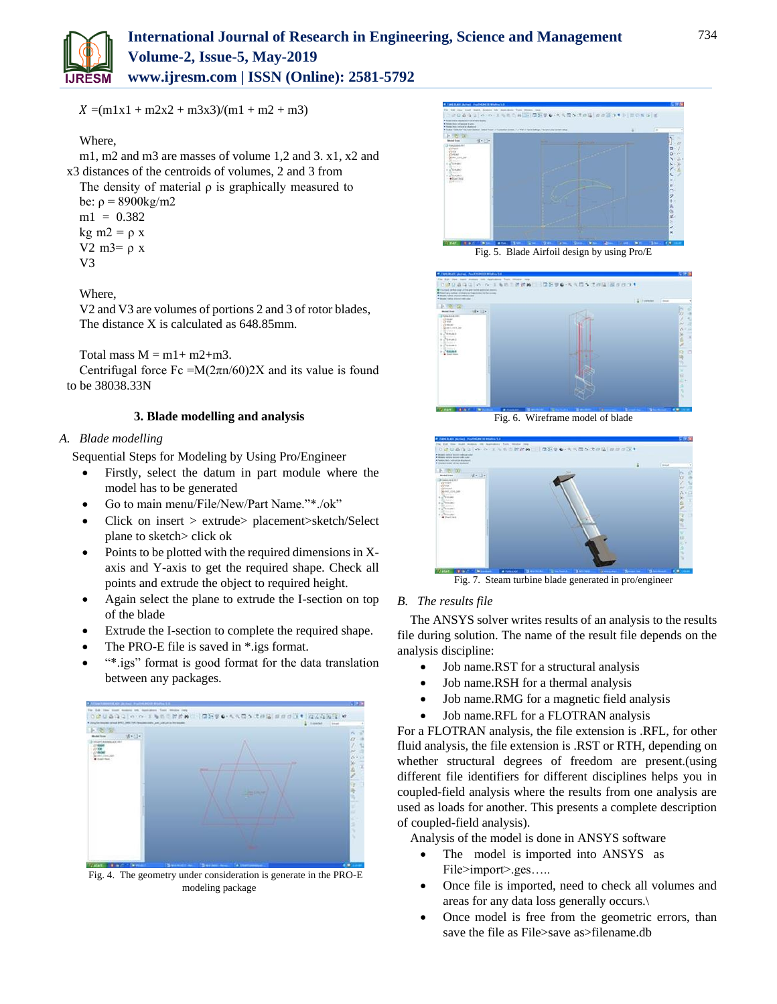

 $X = (m1x1 + m2x2 + m3x3)/(m1 + m2 + m3)$ 

## Where,

m1, m2 and m3 are masses of volume 1,2 and 3. x1, x2 and x3 distances of the centroids of volumes, 2 and 3 from

The density of material  $\rho$  is graphically measured to be:  $ρ = 8900kg/m2$ 

 $ml = 0.382$ kg m2 =  $\rho$  x V2 m<sub>3</sub>=  $ρ x$ V3

## Where,

V2 and V3 are volumes of portions 2 and 3 of rotor blades, The distance X is calculated as 648.85mm.

Total mass  $M = m1 + m2 + m3$ .

Centrifugal force Fc = $M(2\pi n/60)$ 2X and its value is found to be 38038.33N

## **3. Blade modelling and analysis**

## *A. Blade modelling*

Sequential Steps for Modeling by Using Pro/Engineer

- Firstly, select the datum in part module where the model has to be generated
- Go to main menu/File/New/Part Name."\*./ok"
- Click on insert > extrude> placement>sketch/Select plane to sketch> click ok
- Points to be plotted with the required dimensions in Xaxis and Y-axis to get the required shape. Check all points and extrude the object to required height.
- Again select the plane to extrude the I-section on top of the blade
- Extrude the I-section to complete the required shape.
- The PRO-E file is saved in \*.igs format.
- "\*.igs" format is good format for the data translation between any packages.



Fig. 4. The geometry under consideration is generate in the PRO-E modeling package





Fig. 6. Wireframe model of blade



Fig. 7. Steam turbine blade generated in pro/engineer

## *B. The results file*

The ANSYS solver writes results of an analysis to the results file during solution. The name of the result file depends on the analysis discipline:

- Job name.RST for a structural analysis
- Job name.RSH for a thermal analysis
- Job name.RMG for a magnetic field analysis
- Job name.RFL for a FLOTRAN analysis

For a FLOTRAN analysis, the file extension is .RFL, for other fluid analysis, the file extension is .RST or RTH, depending on whether structural degrees of freedom are present.(using different file identifiers for different disciplines helps you in coupled-field analysis where the results from one analysis are used as loads for another. This presents a complete description of coupled-field analysis).

Analysis of the model is done in ANSYS software

- The model is imported into ANSYS as File>import>.ges…..
- Once file is imported, need to check all volumes and areas for any data loss generally occurs.\
- Once model is free from the geometric errors, than save the file as File>save as>filename.db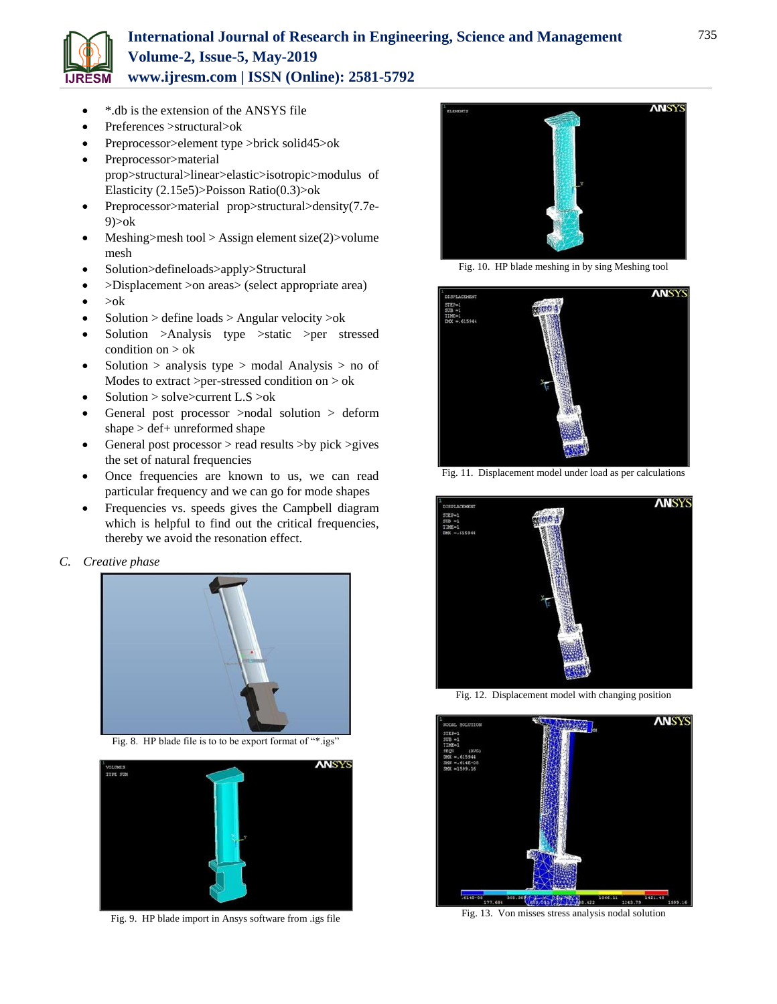

## **International Journal of Research in Engineering, Science and Management Volume-2, Issue-5, May-2019 www.ijresm.com | ISSN (Online): 2581-5792**

- \*.db is the extension of the ANSYS file
- Preferences >structural>ok
- Preprocessor>element type >brick solid45>ok
- Preprocessor>material prop>structural>linear>elastic>isotropic>modulus of Elasticity (2.15e5)>Poisson Ratio(0.3)>ok
- Preprocessor>material prop>structural>density(7.7e-9)>ok
- Meshing>mesh tool > Assign element size(2)>volume mesh
- Solution>defineloads>apply>Structural
- >Displacement >on areas> (select appropriate area)
- $\bullet$  >ok
- Solution > define loads > Angular velocity >ok
- Solution >Analysis type >static >per stressed condition on > ok
- Solution > analysis type > modal Analysis > no of Modes to extract >per-stressed condition on > ok
- Solution > solve>current L.S >ok
- General post processor >nodal solution > deform shape > def+ unreformed shape
- General post processor > read results >by pick >gives the set of natural frequencies
- Once frequencies are known to us, we can read particular frequency and we can go for mode shapes
- Frequencies vs. speeds gives the Campbell diagram which is helpful to find out the critical frequencies, thereby we avoid the resonation effect.

## *C. Creative phase*



Fig. 8. HP blade file is to to be export format of "\*.igs"



Fig. 9. HP blade import in Ansys software from .igs file



Fig. 10. HP blade meshing in by sing Meshing tool



Fig. 11. Displacement model under load as per calculations



Fig. 12. Displacement model with changing position



Fig. 13. Von misses stress analysis nodal solution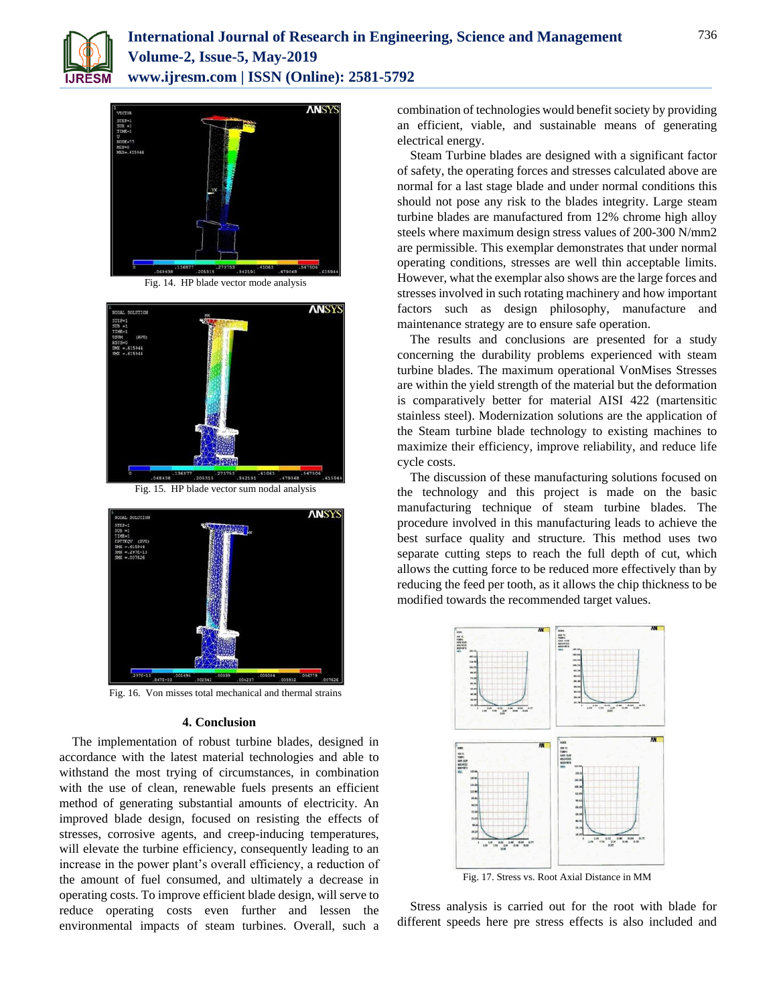



Fig. 14. HP blade vector mode analysis



Fig. 15. HP blade vector sum nodal analysis



Fig. 16. Von misses total mechanical and thermal strains

#### **4. Conclusion**

The implementation of robust turbine blades, designed in accordance with the latest material technologies and able to withstand the most trying of circumstances, in combination with the use of clean, renewable fuels presents an efficient method of generating substantial amounts of electricity. An improved blade design, focused on resisting the effects of stresses, corrosive agents, and creep-inducing temperatures, will elevate the turbine efficiency, consequently leading to an increase in the power plant's overall efficiency, a reduction of the amount of fuel consumed, and ultimately a decrease in operating costs. To improve efficient blade design, will serve to reduce operating costs even further and lessen the environmental impacts of steam turbines. Overall, such a combination of technologies would benefit society by providing an efficient, viable, and sustainable means of generating electrical energy.

Steam Turbine blades are designed with a significant factor of safety, the operating forces and stresses calculated above are normal for a last stage blade and under normal conditions this should not pose any risk to the blades integrity. Large steam turbine blades are manufactured from 12% chrome high alloy steels where maximum design stress values of 200-300 N/mm2 are permissible. This exemplar demonstrates that under normal operating conditions, stresses are well thin acceptable limits. However, what the exemplar also shows are the large forces and stresses involved in such rotating machinery and how important factors such as design philosophy, manufacture and maintenance strategy are to ensure safe operation.

The results and conclusions are presented for a study concerning the durability problems experienced with steam turbine blades. The maximum operational VonMises Stresses are within the yield strength of the material but the deformation is comparatively better for material AISI 422 (martensitic stainless steel). Modernization solutions are the application of the Steam turbine blade technology to existing machines to maximize their efficiency, improve reliability, and reduce life cycle costs.

The discussion of these manufacturing solutions focused on the technology and this project is made on the basic manufacturing technique of steam turbine blades. The procedure involved in this manufacturing leads to achieve the best surface quality and structure. This method uses two separate cutting steps to reach the full depth of cut, which allows the cutting force to be reduced more effectively than by reducing the feed per tooth, as it allows the chip thickness to be modified towards the recommended target values.



Fig. 17. Stress vs. Root Axial Distance in MM

Stress analysis is carried out for the root with blade for different speeds here pre stress effects is also included and